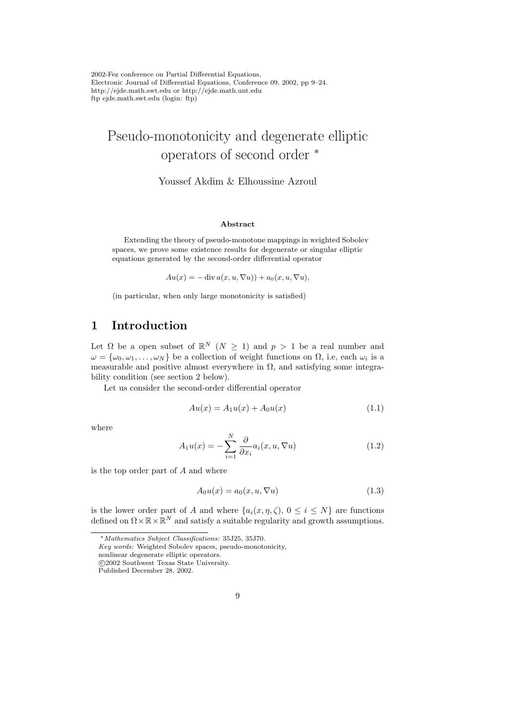# Pseudo-monotonicity and degenerate elliptic operators of second order <sup>∗</sup>

Youssef Akdim & Elhoussine Azroul

#### Abstract

Extending the theory of pseudo-monotone mappings in weighted Sobolev spaces, we prove some existence results for degenerate or singular elliptic equations generated by the second-order differential operator

 $Au(x) = -\operatorname{div} a(x, u, \nabla u) + a_0(x, u, \nabla u),$ 

(in particular, when only large monotonicity is satisfied)

## 1 Introduction

Let  $\Omega$  be a open subset of  $\mathbb{R}^N$   $(N \geq 1)$  and  $p > 1$  be a real number and  $\omega = {\omega_0, \omega_1, \ldots, \omega_N}$  be a collection of weight functions on  $\Omega$ , i.e, each  $\omega_i$  is a measurable and positive almost everywhere in  $\Omega$ , and satisfying some integrability condition (see section 2 below).

Let us consider the second-order differential operator

$$
Au(x) = A_1 u(x) + A_0 u(x)
$$
\n(1.1)

where

$$
A_1 u(x) = -\sum_{i=1}^{N} \frac{\partial}{\partial x_i} a_i(x, u, \nabla u)
$$
\n(1.2)

is the top order part of A and where

$$
A_0 u(x) = a_0(x, u, \nabla u)
$$
\n
$$
(1.3)
$$

is the lower order part of A and where  $\{a_i(x, \eta, \zeta), 0 \leq i \leq N\}$  are functions defined on  $\Omega \times \mathbb{R} \times \mathbb{R}^N$  and satisfy a suitable regularity and growth assumptions.

<sup>∗</sup>Mathematics Subject Classifications: 35J25, 35J70.

Key words: Weighted Sobolev spaces, pseudo-monotonicity,

nonlinear degenerate elliptic operators.

c 2002 Southwest Texas State University.

Published December 28, 2002.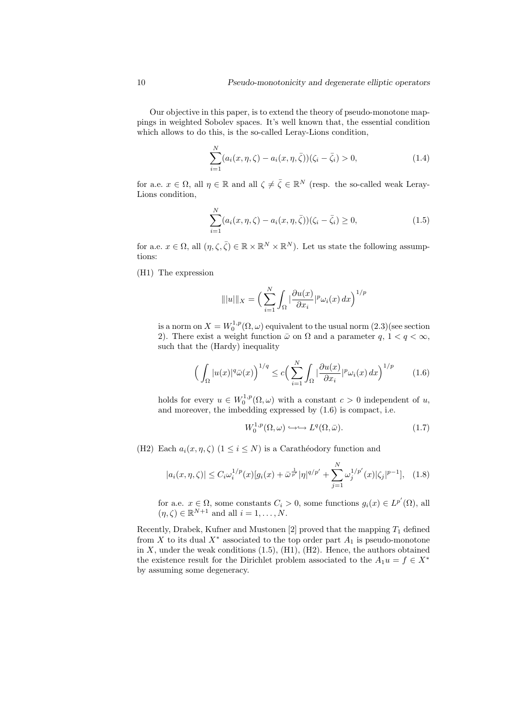Our objective in this paper, is to extend the theory of pseudo-monotone mappings in weighted Sobolev spaces. It's well known that, the essential condition which allows to do this, is the so-called Leray-Lions condition,

$$
\sum_{i=1}^{N} (a_i(x, \eta, \zeta) - a_i(x, \eta, \bar{\zeta}))(\zeta_i - \bar{\zeta}_i) > 0,
$$
\n(1.4)

for a.e.  $x \in \Omega$ , all  $\eta \in \mathbb{R}$  and all  $\zeta \neq \overline{\zeta} \in \mathbb{R}^N$  (resp. the so-called weak Leray-Lions condition,

$$
\sum_{i=1}^{N} (a_i(x, \eta, \zeta) - a_i(x, \eta, \bar{\zeta}))(\zeta_i - \bar{\zeta}_i) \ge 0,
$$
\n(1.5)

for a.e.  $x \in \Omega$ , all  $(\eta, \zeta, \overline{\zeta}) \in \mathbb{R} \times \mathbb{R}^N \times \mathbb{R}^N$ . Let us state the following assumptions:

(H1) The expression

$$
\| |u| \|_X = \Big( \sum_{i=1}^N \int_{\Omega} \big| \frac{\partial u(x)}{\partial x_i} \big|_{\mathcal{V}} \omega_i(x) \, dx \Big)^{1/p}
$$

is a norm on  $X = W_0^{1,p}(\Omega, \omega)$  equivalent to the usual norm  $(2.3)$  (see section 2). There exist a weight function  $\bar{\omega}$  on  $\Omega$  and a parameter  $q, 1 < q < \infty$ , such that the (Hardy) inequality

$$
\left(\int_{\Omega} |u(x)|^q \bar{\omega}(x)\right)^{1/q} \le c \left(\sum_{i=1}^N \int_{\Omega} |\frac{\partial u(x)}{\partial x_i}|^p \omega_i(x) \, dx\right)^{1/p} \tag{1.6}
$$

holds for every  $u \in W_0^{1,p}(\Omega, \omega)$  with a constant  $c > 0$  independent of u, and moreover, the imbedding expressed by (1.6) is compact, i.e.

$$
W_0^{1,p}(\Omega,\omega) \hookrightarrow \hookrightarrow L^q(\Omega,\bar{\omega}).
$$
\n(1.7)

(H2) Each  $a_i(x, \eta, \zeta)$   $(1 \leq i \leq N)$  is a Carathéodory function and

$$
|a_i(x, \eta, \zeta)| \le C_i \omega_i^{1/p}(x) [g_i(x) + \bar{\omega}^{\frac{1}{p'}} |\eta|^{q/p'} + \sum_{j=1}^N \omega_j^{1/p'}(x) |\zeta_j|^{p-1}], \quad (1.8)
$$

for a.e.  $x \in \Omega$ , some constants  $C_i > 0$ , some functions  $g_i(x) \in L^{p'}(\Omega)$ , all  $(\eta, \zeta) \in \mathbb{R}^{N+1}$  and all  $i = 1, \ldots, N$ .

Recently, Drabek, Kufner and Mustonen [2] proved that the mapping  $T_1$  defined from X to its dual  $X^*$  associated to the top order part  $A_1$  is pseudo-monotone in  $X$ , under the weak conditions  $(1.5)$ ,  $(H1)$ ,  $(H2)$ . Hence, the authors obtained the existence result for the Dirichlet problem associated to the  $A_1u = f \in X^*$ by assuming some degeneracy.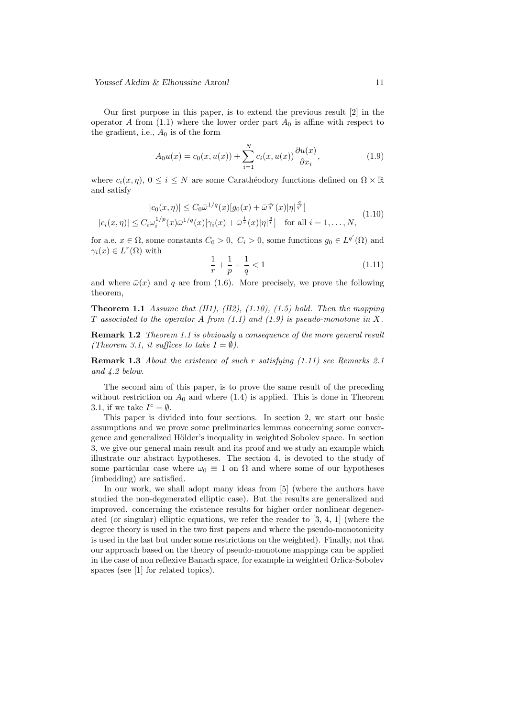Our first purpose in this paper, is to extend the previous result [2] in the operator A from  $(1.1)$  where the lower order part  $A_0$  is affine with respect to the gradient, i.e.,  $A_0$  is of the form

$$
A_0 u(x) = c_0(x, u(x)) + \sum_{i=1}^{N} c_i(x, u(x)) \frac{\partial u(x)}{\partial x_i},
$$
\n(1.9)

where  $c_i(x, \eta)$ ,  $0 \leq i \leq N$  are some Carathéodory functions defined on  $\Omega \times \mathbb{R}$ and satisfy

$$
|c_0(x,\eta)| \le C_0 \bar{\omega}^{1/q}(x) [g_0(x) + \bar{\omega}^{\frac{1}{q'}}(x)|\eta|^{\frac{q}{q'}}]
$$
  

$$
|c_i(x,\eta)| \le C_i \omega_i^{1/p}(x) \bar{\omega}^{1/q}(x) [\gamma_i(x) + \bar{\omega}^{\frac{1}{r}}(x)|\eta|^{\frac{q}{r}}] \text{ for all } i = 1,\dots,N,
$$
 (1.10)

for a.e.  $x \in \Omega$ , some constants  $C_0 > 0$ ,  $C_i > 0$ , some functions  $g_0 \in L^{q'}(\Omega)$  and  $\gamma_i(x) \in L^r(\Omega)$  with

$$
\frac{1}{r} + \frac{1}{p} + \frac{1}{q} < 1\tag{1.11}
$$

and where  $\bar{\omega}(x)$  and q are from (1.6). More precisely, we prove the following theorem,

**Theorem 1.1** Assume that  $(H1)$ ,  $(H2)$ ,  $(1.10)$ ,  $(1.5)$  hold. Then the mapping T associated to the operator A from  $(1.1)$  and  $(1.9)$  is pseudo-monotone in X.

**Remark 1.2** Theorem 1.1 is obviously a consequence of the more general result (Theorem 3.1, it suffices to take  $I = \emptyset$ ).

Remark 1.3 About the existence of such r satisfying (1.11) see Remarks 2.1 and 4.2 below.

The second aim of this paper, is to prove the same result of the preceding without restriction on  $A_0$  and where  $(1.4)$  is applied. This is done in Theorem 3.1, if we take  $I^c = \emptyset$ .

This paper is divided into four sections. In section 2, we start our basic assumptions and we prove some preliminaries lemmas concerning some convergence and generalized Hölder's inequality in weighted Sobolev space. In section 3, we give our general main result and its proof and we study an example which illustrate our abstract hypotheses. The section 4, is devoted to the study of some particular case where  $\omega_0 \equiv 1$  on  $\Omega$  and where some of our hypotheses (imbedding) are satisfied.

In our work, we shall adopt many ideas from [5] (where the authors have studied the non-degenerated elliptic case). But the results are generalized and improved. concerning the existence results for higher order nonlinear degenerated (or singular) elliptic equations, we refer the reader to [3, 4, 1] (where the degree theory is used in the two first papers and where the pseudo-monotonicity is used in the last but under some restrictions on the weighted). Finally, not that our approach based on the theory of pseudo-monotone mappings can be applied in the case of non reflexive Banach space, for example in weighted Orlicz-Sobolev spaces (see [1] for related topics).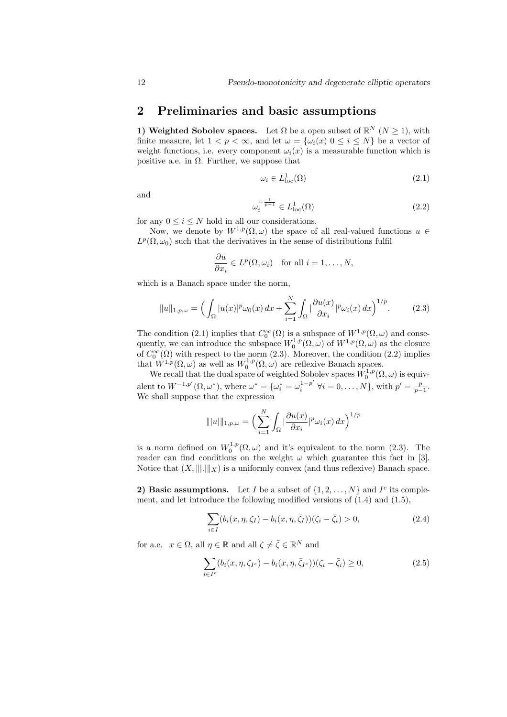### 2 Preliminaries and basic assumptions

1) Weighted Sobolev spaces. Let  $\Omega$  be a open subset of  $\mathbb{R}^N$   $(N \geq 1)$ , with finite measure, let  $1 < p < \infty$ , and let  $\omega = {\omega_i(x) \mid 0 \le i \le N}$  be a vector of weight functions, i.e. every component  $\omega_i(x)$  is a measurable function which is positive a.e. in  $\Omega$ . Further, we suppose that

$$
\omega_i \in L^1_{\text{loc}}(\Omega) \tag{2.1}
$$

and

$$
\omega_i^{-\frac{1}{p-1}} \in L^1_{\text{loc}}(\Omega) \tag{2.2}
$$

for any  $0 \le i \le N$  hold in all our considerations.

Now, we denote by  $W^{1,p}(\Omega,\omega)$  the space of all real-valued functions  $u \in$  $L^p(\Omega, \omega_0)$  such that the derivatives in the sense of distributions fulfil

$$
\frac{\partial u}{\partial x_i} \in L^p(\Omega, \omega_i) \quad \text{for all } i = 1, \dots, N,
$$

which is a Banach space under the norm,

$$
||u||_{1,p,\omega} = \left(\int_{\Omega} |u(x)|^p \omega_0(x) dx + \sum_{i=1}^N \int_{\Omega} \left|\frac{\partial u(x)}{\partial x_i}\right|^{p} \omega_i(x) dx\right)^{1/p}.
$$
 (2.3)

The condition (2.1) implies that  $C_0^{\infty}(\Omega)$  is a subspace of  $W^{1,p}(\Omega,\omega)$  and consequently, we can introduce the subspace  $W_0^{1,p}(\Omega,\omega)$  of  $W^{1,p}(\Omega,\omega)$  as the closure of  $C_0^{\infty}(\Omega)$  with respect to the norm (2.3). Moreover, the condition (2.2) implies that  $W^{1,p}(\Omega,\omega)$  as well as  $W_0^{1,p}(\Omega,\omega)$  are reflexive Banach spaces.

We recall that the dual space of weighted Sobolev spaces  $\bar{W}^{1,p}_0(\Omega,\omega)$  is equivalent to  $W^{-1,p'}(\Omega,\omega^*),$  where  $\omega^* = {\{\omega_i^* = \omega_i^{1-p'}\}}$  $j_i^{1-p'} \; \forall i = 0, \ldots, N$ , with  $p' = \frac{p}{p-1}$ . We shall suppose that the expression

$$
\| |u| \|_{1,p,\omega} = \Big( \sum_{i=1}^N \int_{\Omega} \Big| \frac{\partial u(x)}{\partial x_i} \Big|^p \omega_i(x) \, dx \Big)^{1/p}
$$

is a norm defined on  $W_0^{1,p}(\Omega,\omega)$  and it's equivalent to the norm (2.3). The reader can find conditions on the weight  $\omega$  which guarantee this fact in [3]. Notice that  $(X, \| \| \|_X)$  is a uniformly convex (and thus reflexive) Banach space.

2) Basic assumptions. Let I be a subset of  $\{1, 2, ..., N\}$  and  $I^c$  its complement, and let introduce the following modified versions of (1.4) and (1.5),

$$
\sum_{i \in I} (b_i(x, \eta, \zeta_I) - b_i(x, \eta, \bar{\zeta}_I))(\zeta_i - \bar{\zeta}_i) > 0,
$$
\n(2.4)

for a.e.  $x \in \Omega$ , all  $\eta \in \mathbb{R}$  and all  $\zeta \neq \overline{\zeta} \in \mathbb{R}^N$  and

$$
\sum_{i \in I^c} (b_i(x, \eta, \zeta_{I^c}) - b_i(x, \eta, \bar{\zeta}_{I^c}))(\zeta_i - \bar{\zeta}_i) \ge 0,
$$
\n(2.5)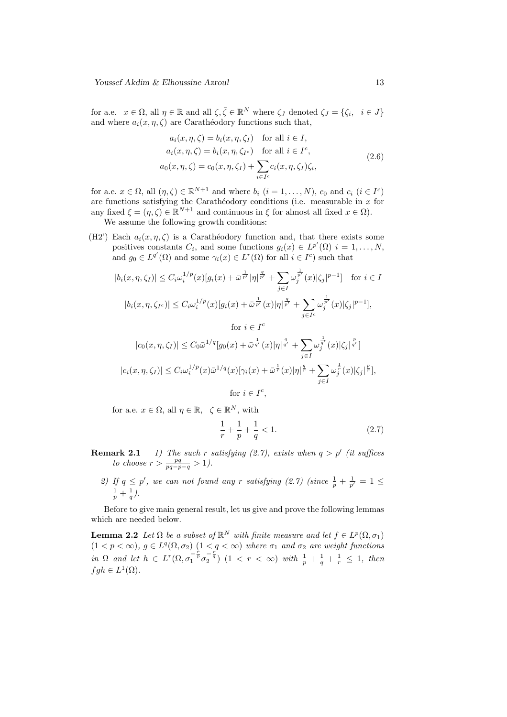for a.e.  $x \in \Omega$ , all  $\eta \in \mathbb{R}$  and all  $\zeta, \overline{\zeta} \in \mathbb{R}^N$  where  $\zeta_J$  denoted  $\zeta_J = \{\zeta_i, i \in J\}$ and where  $a_i(x, \eta, \zeta)$  are Carathéodory functions such that,

$$
a_i(x, \eta, \zeta) = b_i(x, \eta, \zeta_I) \quad \text{for all } i \in I,
$$
  
\n
$$
a_i(x, \eta, \zeta) = b_i(x, \eta, \zeta_{I^c}) \quad \text{for all } i \in I^c,
$$
  
\n
$$
a_0(x, \eta, \zeta) = c_0(x, \eta, \zeta_I) + \sum_{i \in I^c} c_i(x, \eta, \zeta_I) \zeta_i,
$$
\n(2.6)

for a.e.  $x \in \Omega$ , all  $(\eta, \zeta) \in \mathbb{R}^{N+1}$  and where  $b_i$   $(i = 1, ..., N)$ ,  $c_0$  and  $c_i$   $(i \in I^c)$ are functions satisfying the Carathéodory conditions (i.e. measurable in  $x$  for any fixed  $\xi = (\eta, \zeta) \in \mathbb{R}^{N+1}$  and continuous in  $\xi$  for almost all fixed  $x \in \Omega$ ).

We assume the following growth conditions:

(H2') Each  $a_i(x, \eta, \zeta)$  is a Carathéodory function and, that there exists some positives constants  $C_i$ , and some functions  $g_i(x) \in L^{p'}(\Omega)$   $i = 1, ..., N$ , and  $g_0 \in L^{q'}(\Omega)$  and some  $\gamma_i(x) \in L^r(\Omega)$  for all  $i \in I^c$ ) such that

$$
|b_i(x, \eta, \zeta_I)| \le C_i \omega_i^{1/p}(x) [g_i(x) + \bar{\omega}^{\frac{1}{p'}} |\eta|^{\frac{q}{p'}} + \sum_{j \in I} \omega_j^{\frac{1}{p'}}(x) |\zeta_j|^{p-1}] \quad \text{for } i \in I
$$
  

$$
|b_i(x, \eta, \zeta_{I^c})| \le C_i \omega_i^{1/p}(x) [g_i(x) + \bar{\omega}^{\frac{1}{p'}}(x) |\eta|^{\frac{q}{p'}} + \sum_{j \in I^c} \omega_j^{\frac{1}{p'}}(x) |\zeta_j|^{p-1}],
$$
  
for  $i \in I^c$ 

$$
|c_0(x, \eta, \zeta_I)| \leq C_0 \bar{\omega}^{1/q} [g_0(x) + \bar{\omega}^{\frac{1}{q'}}(x)|\eta|^{\frac{q}{q'}} + \sum_{j \in I} \omega_j^{\frac{1}{q'}}(x)|\zeta_j|^{\frac{p}{q'}}]
$$
  

$$
|c_i(x, \eta, \zeta_I)| \leq C_i \omega_i^{1/p}(x) \bar{\omega}^{1/q}(x)[\gamma_i(x) + \bar{\omega}^{\frac{1}{r}}(x)|\eta|^{\frac{q}{r}} + \sum_{j \in I} \omega_j^{\frac{1}{r}}(x)|\zeta_j|^{\frac{p}{r}}],
$$
  
for  $i \in I^c$ ,

for a.e.  $x \in \Omega$ , all  $\eta \in \mathbb{R}$ ,  $\zeta \in \mathbb{R}^N$ , with

$$
\frac{1}{r} + \frac{1}{p} + \frac{1}{q} < 1. \tag{2.7}
$$

- **Remark 2.1** 1) The such r satisfying (2.7), exists when  $q > p'$  (it suffices to choose  $r > \frac{pq}{pq-p-q} > 1$ ).
	- 2) If  $q \leq p'$ , we can not found any r satisfying (2.7) (since  $\frac{1}{p} + \frac{1}{p'} = 1 \leq$  $\frac{1}{p} + \frac{1}{q}$ .

Before to give main general result, let us give and prove the following lemmas which are needed below.

**Lemma 2.2** Let  $\Omega$  be a subset of  $\mathbb{R}^N$  with finite measure and let  $f \in L^p(\Omega, \sigma_1)$  $(1 < p < \infty)$ ,  $g \in L^q(\Omega, \sigma_2)$   $(1 < q < \infty)$  where  $\sigma_1$  and  $\sigma_2$  are weight functions in  $\Omega$  and let  $h \in L^r(\Omega, \sigma_1^{-\frac{r}{p}} \sigma_2^{-\frac{r}{q}})$   $(1 \lt r \lt \infty)$  with  $\frac{1}{p} + \frac{1}{q} + \frac{1}{r} \leq 1$ , then  $fgh \in L^1(\Omega)$ .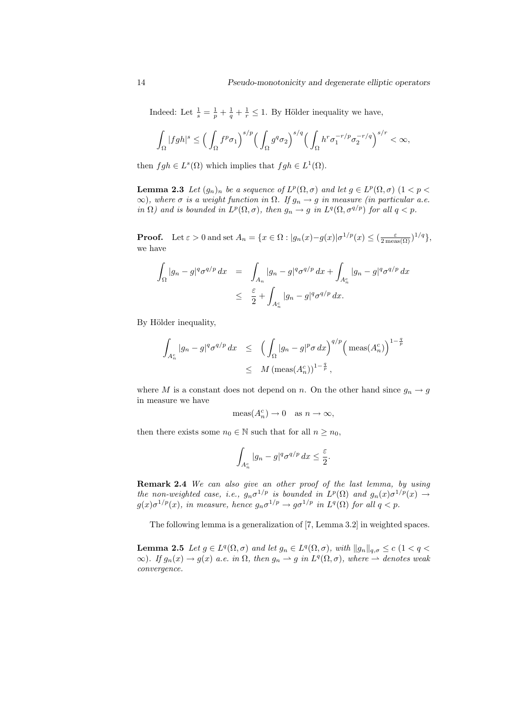Indeed: Let  $\frac{1}{s} = \frac{1}{p} + \frac{1}{q} + \frac{1}{r} \leq 1$ . By Hölder inequality we have,

$$
\int_{\Omega}|fgh|^{s}\leq \Big(\int_{\Omega}f^p\sigma_1\Big)^{s/p}\Big(\int_{\Omega}g^q\sigma_2\Big)^{s/q}\Big(\int_{\Omega}h^r\sigma_1^{-r/p}\sigma_2^{-r/q}\Big)^{s/r}<\infty,
$$

then  $fgh \in L^{s}(\Omega)$  which implies that  $fgh \in L^{1}(\Omega)$ .

**Lemma 2.3** Let  $(g_n)_n$  be a sequence of  $L^p(\Omega, \sigma)$  and let  $g \in L^p(\Omega, \sigma)$   $(1 < p <$  $\infty$ ), where  $\sigma$  is a weight function in  $\Omega$ . If  $g_n \to g$  in measure (in particular a.e. in  $\Omega$ ) and is bounded in  $L^p(\Omega, \sigma)$ , then  $g_n \to g$  in  $L^q(\Omega, \sigma^{q/p})$  for all  $q < p$ .

**Proof.** Let  $\varepsilon > 0$  and set  $A_n = \{x \in \Omega : |g_n(x) - g(x)| \sigma^{1/p}(x) \leq (\frac{\varepsilon}{2 \max(\Omega)})^{1/q} \},$ we have

$$
\int_{\Omega} |g_n - g|^{q} \sigma^{q/p} dx = \int_{A_n} |g_n - g|^{q} \sigma^{q/p} dx + \int_{A_n^c} |g_n - g|^{q} \sigma^{q/p} dx
$$
  

$$
\leq \frac{\varepsilon}{2} + \int_{A_n^c} |g_n - g|^{q} \sigma^{q/p} dx.
$$

By Hölder inequality,

$$
\int_{A_n^c} |g_n - g|^{q} \sigma^{q/p} dx \le \left( \int_{\Omega} |g_n - g|^{p} \sigma dx \right)^{q/p} \left( \text{meas}(A_n^c) \right)^{1 - \frac{q}{p}}
$$
  

$$
\le M \left( \text{meas}(A_n^c) \right)^{1 - \frac{q}{p}},
$$

where M is a constant does not depend on n. On the other hand since  $g_n \to g$ in measure we have

$$
\operatorname{meas}(A_n^c) \to 0 \quad \text{as } n \to \infty,
$$

then there exists some  $n_0 \in \mathbb{N}$  such that for all  $n \geq n_0$ ,

$$
\int_{A_n^c} |g_n - g|^{q} \sigma^{q/p} \, dx \le \frac{\varepsilon}{2}.
$$

Remark 2.4 We can also give an other proof of the last lemma, by using the non-weighted case, i.e.,  $g_n \sigma^{1/p}$  is bounded in  $L^p(\Omega)$  and  $g_n(x) \sigma^{1/p}(x) \rightarrow$  $g(x)\sigma^{1/p}(x)$ , in measure, hence  $g_n\sigma^{1/p} \to g\sigma^{1/p}$  in  $L^q(\Omega)$  for all  $q < p$ .

The following lemma is a generalization of [7, Lemma 3.2] in weighted spaces.

**Lemma 2.5** Let  $g \in L^q(\Omega, \sigma)$  and let  $g_n \in L^q(\Omega, \sigma)$ , with  $||g_n||_{q, \sigma} \leq c$   $(1 < q <$  $\infty$ ). If  $g_n(x) \to g(x)$  a.e. in  $\Omega$ , then  $g_n \to g$  in  $L^q(\Omega, \sigma)$ , where  $\to$  denotes weak convergence.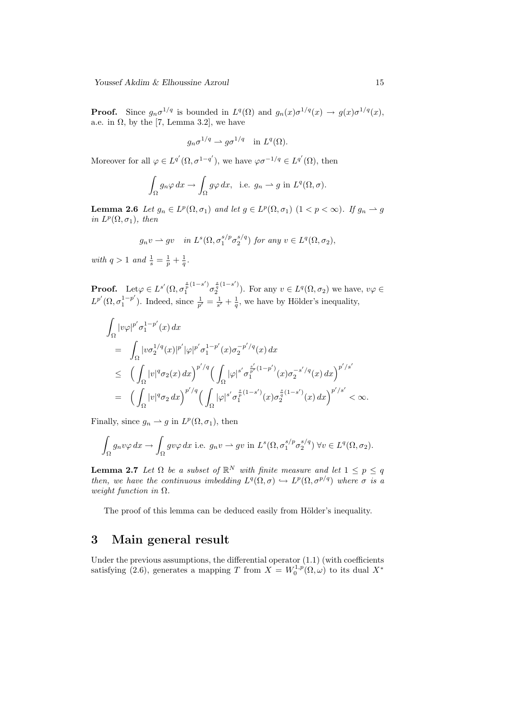**Proof.** Since  $g_n \sigma^{1/q}$  is bounded in  $L^q(\Omega)$  and  $g_n(x) \sigma^{1/q}(x) \to g(x) \sigma^{1/q}(x)$ , a.e. in  $\Omega$ , by the [7, Lemma 3.2], we have

$$
g_n \sigma^{1/q} \rightharpoonup g \sigma^{1/q} \quad \text{in } L^q(\Omega).
$$

Moreover for all  $\varphi \in L^{q'}(\Omega, \sigma^{1-q'}),$  we have  $\varphi \sigma^{-1/q} \in L^{q'}(\Omega)$ , then

$$
\int_{\Omega} g_n \varphi \, dx \to \int_{\Omega} g \varphi \, dx, \text{ i.e. } g_n \to g \text{ in } L^q(\Omega, \sigma).
$$

**Lemma 2.6** Let  $g_n \in L^p(\Omega, \sigma_1)$  and let  $g \in L^p(\Omega, \sigma_1)$   $(1 < p < \infty)$ . If  $g_n \to g$ in  $L^p(\Omega, \sigma_1)$ , then

$$
g_n v \rightharpoonup gv
$$
 in  $L^s(\Omega, \sigma_1^{s/p} \sigma_2^{s/q})$  for any  $v \in L^q(\Omega, \sigma_2)$ ,

with  $q > 1$  and  $\frac{1}{s} = \frac{1}{p} + \frac{1}{q}$ .

**Proof.** Let  $\varphi \in L^{s'}(\Omega, \sigma_1^{\frac{s}{p}(1-s')}\sigma_2^{\frac{s}{q}(1-s')})$  $\frac{1}{q}$ <sup> $\frac{1}{q}$ </sup> $(1-s)$ . For any  $v \in L^q(\Omega, \sigma_2)$  we have,  $v\varphi \in L^q(\Omega, \sigma_2)$  $L^{p'}(\Omega, \sigma_1^{1-p'})$  $\frac{1-p'}{1}$ . Indeed, since  $\frac{1}{p'} = \frac{1}{s'} + \frac{1}{q}$ , we have by Hölder's inequality,

$$
\int_{\Omega} |v\varphi|^{p'} \sigma_1^{1-p'}(x) dx \n= \int_{\Omega} |v\sigma_2^{1/q}(x)|^{p'} |\varphi|^{p'} \sigma_1^{1-p'}(x) \sigma_2^{-p'/q}(x) dx \n\leq \left( \int_{\Omega} |v|^q \sigma_2(x) dx \right)^{p'/q} \left( \int_{\Omega} |\varphi|^{s'} \sigma_1^{\frac{s'}{p'}(1-p')}(x) \sigma_2^{-s'/q}(x) dx \right)^{p'/s'} \n= \left( \int_{\Omega} |v|^q \sigma_2 dx \right)^{p'/q} \left( \int_{\Omega} |\varphi|^{s'} \sigma_1^{\frac{s}{p}(1-s')}(x) \sigma_2^{\frac{s}{q}(1-s')}(x) dx \right)^{p'/s'} < \infty.
$$

Finally, since  $g_n \rightharpoonup g$  in  $L^p(\Omega, \sigma_1)$ , then

$$
\int_{\Omega} g_n v \varphi \, dx \to \int_{\Omega} g v \varphi \, dx \text{ i.e. } g_n v \to g v \text{ in } L^s(\Omega, \sigma_1^{s/p} \sigma_2^{s/q}) \,\forall v \in L^q(\Omega, \sigma_2).
$$

**Lemma 2.7** Let  $\Omega$  be a subset of  $\mathbb{R}^N$  with finite measure and let  $1 \leq p \leq q$ then, we have the continuous imbedding  $L^q(\Omega, \sigma) \hookrightarrow L^p(\Omega, \sigma^{p/q})$  where  $\sigma$  is a weight function in  $\Omega$ .

The proof of this lemma can be deduced easily from Hölder's inequality.

#### 3 Main general result

Under the previous assumptions, the differential operator  $(1.1)$  (with coefficients satisfying (2.6), generates a mapping T from  $X = W_0^{1,p}(\Omega,\omega)$  to its dual  $X^*$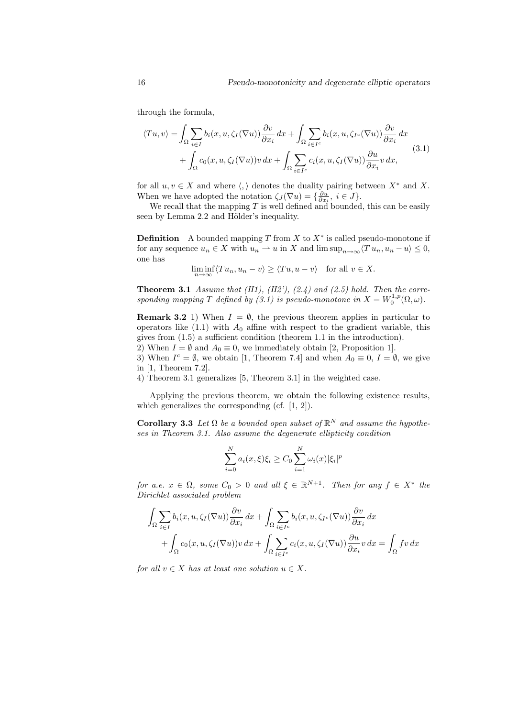through the formula,

$$
\langle Tu, v \rangle = \int_{\Omega} \sum_{i \in I} b_i(x, u, \zeta_I(\nabla u)) \frac{\partial v}{\partial x_i} dx + \int_{\Omega} \sum_{i \in I^c} b_i(x, u, \zeta_{I^c}(\nabla u)) \frac{\partial v}{\partial x_i} dx + \int_{\Omega} c_0(x, u, \zeta_I(\nabla u)) v dx + \int_{\Omega} \sum_{i \in I^c} c_i(x, u, \zeta_I(\nabla u)) \frac{\partial u}{\partial x_i} v dx,
$$
(3.1)

for all  $u, v \in X$  and where  $\langle, \rangle$  denotes the duality pairing between  $X^*$  and X. When we have adopted the notation  $\zeta_J(\nabla u) = \{\frac{\partial u}{\partial x_i}, i \in J\}.$ 

We recall that the mapping  $T$  is well defined and bounded, this can be easily seen by Lemma 2.2 and Hölder's inequality.

**Definition** A bounded mapping T from X to  $X^*$  is called pseudo-monotone if for any sequence  $u_n \in X$  with  $u_n \rightharpoonup u$  in X and lim  $\sup_{n \to \infty} \langle T u_n, u_n - u \rangle \leq 0$ , one has

$$
\liminf_{n \to \infty} \langle Tu_n, u_n - v \rangle \ge \langle Tu, u - v \rangle \quad \text{for all } v \in X.
$$

**Theorem 3.1** Assume that  $(H1)$ ,  $(H2')$ ,  $(2.4)$  and  $(2.5)$  hold. Then the corresponding mapping T defined by (3.1) is pseudo-monotone in  $X = W_0^{1,p}(\Omega, \omega)$ .

**Remark 3.2** 1) When  $I = \emptyset$ , the previous theorem applies in particular to operators like  $(1.1)$  with  $A_0$  affine with respect to the gradient variable, this gives from (1.5) a sufficient condition (theorem 1.1 in the introduction).

2) When  $I = \emptyset$  and  $A_0 \equiv 0$ , we immediately obtain [2, Proposition 1].

3) When  $I^c = \emptyset$ , we obtain [1, Theorem 7.4] and when  $A_0 \equiv 0, I = \emptyset$ , we give in [1, Theorem 7.2].

4) Theorem 3.1 generalizes [5, Theorem 3.1] in the weighted case.

Applying the previous theorem, we obtain the following existence results, which generalizes the corresponding (cf. [1, 2]).

**Corollary 3.3** Let  $\Omega$  be a bounded open subset of  $\mathbb{R}^N$  and assume the hypotheses in Theorem 3.1. Also assume the degenerate ellipticity condition

$$
\sum_{i=0}^{N} a_i(x,\xi)\xi_i \ge C_0 \sum_{i=1}^{N} \omega_i(x) |\xi_i|^p
$$

for a.e.  $x \in \Omega$ , some  $C_0 > 0$  and all  $\xi \in \mathbb{R}^{N+1}$ . Then for any  $f \in X^*$  the Dirichlet associated problem

$$
\int_{\Omega} \sum_{i \in I} b_i(x, u, \zeta_I(\nabla u)) \frac{\partial v}{\partial x_i} dx + \int_{\Omega} \sum_{i \in I^c} b_i(x, u, \zeta_{I^c}(\nabla u)) \frac{\partial v}{\partial x_i} dx + \int_{\Omega} c_0(x, u, \zeta_I(\nabla u)) v dx + \int_{\Omega} \sum_{i \in I^c} c_i(x, u, \zeta_I(\nabla u)) \frac{\partial u}{\partial x_i} v dx = \int_{\Omega} fv dx
$$

for all  $v \in X$  has at least one solution  $u \in X$ .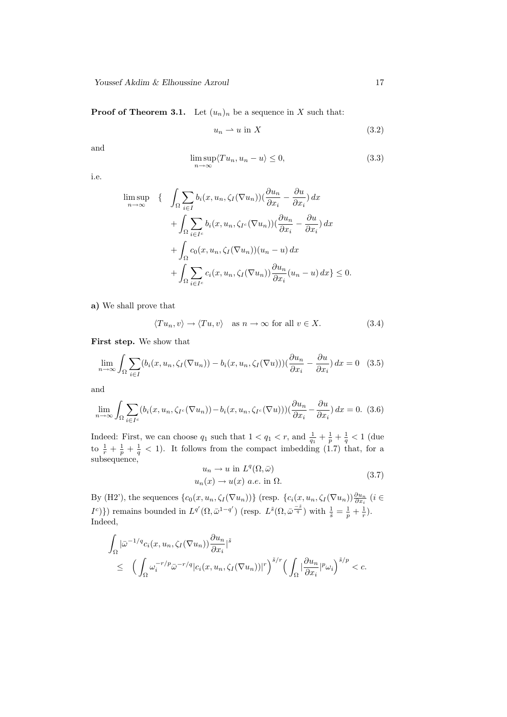**Proof of Theorem 3.1.** Let  $(u_n)_n$  be a sequence in X such that:

$$
u_n \rightharpoonup u \text{ in } X \tag{3.2}
$$

and

$$
\limsup_{n \to \infty} \langle Tu_n, u_n - u \rangle \le 0,
$$
\n(3.3)

i.e.

$$
\limsup_{n \to \infty} \left\{ \int_{\Omega} \sum_{i \in I} b_i(x, u_n, \zeta_I(\nabla u_n)) (\frac{\partial u_n}{\partial x_i} - \frac{\partial u}{\partial x_i}) dx + \int_{\Omega} \sum_{i \in I^c} b_i(x, u_n, \zeta_{I^c}(\nabla u_n)) (\frac{\partial u_n}{\partial x_i} - \frac{\partial u}{\partial x_i}) dx + \int_{\Omega} c_0(x, u_n, \zeta_I(\nabla u_n)) (u_n - u) dx + \int_{\Omega} \sum_{i \in I^c} c_i(x, u_n, \zeta_I(\nabla u_n)) \frac{\partial u_n}{\partial x_i} (u_n - u) dx \right\} \le 0.
$$

a) We shall prove that

$$
\langle Tu_n, v \rangle \to \langle Tu, v \rangle \quad \text{as } n \to \infty \text{ for all } v \in X. \tag{3.4}
$$

First step. We show that

$$
\lim_{n \to \infty} \int_{\Omega} \sum_{i \in I} (b_i(x, u_n, \zeta_I(\nabla u_n)) - b_i(x, u_n, \zeta_I(\nabla u))) (\frac{\partial u_n}{\partial x_i} - \frac{\partial u}{\partial x_i}) dx = 0 \quad (3.5)
$$

and

$$
\lim_{n \to \infty} \int_{\Omega} \sum_{i \in I^c} (b_i(x, u_n, \zeta_{I^c}(\nabla u_n)) - b_i(x, u_n, \zeta_{I^c}(\nabla u))) (\frac{\partial u_n}{\partial x_i} - \frac{\partial u}{\partial x_i}) dx = 0.
$$
 (3.6)

Indeed: First, we can choose  $q_1$  such that  $1 < q_1 < r$ , and  $\frac{1}{q_1} + \frac{1}{p} + \frac{1}{q} < 1$  (due to  $\frac{1}{r} + \frac{1}{p} + \frac{1}{q} < 1$ . It follows from the compact imbedding (1.7) that, for a subsequence,

$$
u_n \to u \text{ in } L^q(\Omega, \bar{\omega})
$$
  

$$
u_n(x) \to u(x) \text{ a.e. in } \Omega.
$$
 (3.7)

By (H2'), the sequences  $\{c_0(x, u_n, \zeta_I(\nabla u_n))\}$  (resp.  $\{c_i(x, u_n, \zeta_I(\nabla u_n))\frac{\partial u_n}{\partial x_i}$  ( $i \in$  $I^c$ } mith  $\frac{1}{\tilde{s}} = \frac{1}{p} + \frac{1}{r}$ . The bounded in  $L^{q'}(\Omega, \bar{\omega}^{1-q'})$  (resp.  $L^{\tilde{s}}(\Omega, \bar{\omega}^{\frac{-\tilde{s}}{q}})$  with  $\frac{1}{\tilde{s}} = \frac{1}{p} + \frac{1}{r}$ ). Indeed,

$$
\int_{\Omega} |\bar{\omega}^{-1/q} c_i(x, u_n, \zeta_I(\nabla u_n)) \frac{\partial u_n}{\partial x_i}|^{\tilde{s}} \le \left( \int_{\Omega} \omega_i^{-r/p} \bar{\omega}^{-r/q} |c_i(x, u_n, \zeta_I(\nabla u_n))|^r \right)^{\tilde{s}/r} \left( \int_{\Omega} |\frac{\partial u_n}{\partial x_i}|^p \omega_i \right)^{\tilde{s}/p} < c.
$$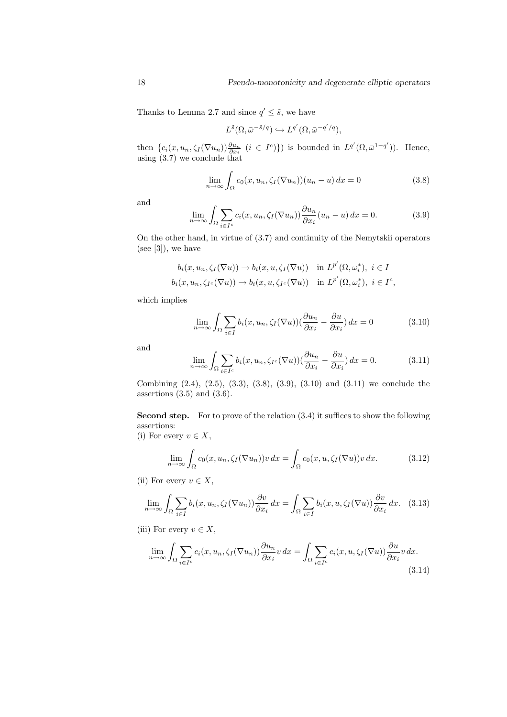Thanks to Lemma 2.7 and since  $q' \leq \tilde{s}$ , we have

$$
L^{\tilde{s}}(\Omega, \bar{\omega}^{-\tilde{s}/q}) \hookrightarrow L^{q'}(\Omega, \bar{\omega}^{-q'/q}),
$$

then  $\{c_i(x, u_n, \zeta_I(\nabla u_n))\frac{\partial u_n}{\partial x_i} \ (i \in I^c)\}\)$  is bounded in  $L^{q'}(\Omega, \bar{\omega}^{1-q'})$ ). Hence, using (3.7) we conclude that

$$
\lim_{n \to \infty} \int_{\Omega} c_0(x, u_n, \zeta_I(\nabla u_n))(u_n - u) dx = 0
$$
\n(3.8)

and

$$
\lim_{n \to \infty} \int_{\Omega} \sum_{i \in I^c} c_i(x, u_n, \zeta_I(\nabla u_n)) \frac{\partial u_n}{\partial x_i}(u_n - u) dx = 0.
$$
 (3.9)

On the other hand, in virtue of (3.7) and continuity of the Nemytskii operators (see  $[3]$ ), we have

$$
b_i(x, u_n, \zeta_I(\nabla u)) \to b_i(x, u, \zeta_I(\nabla u)) \quad \text{in } L^{p'}(\Omega, \omega_i^*), \ i \in I
$$
  

$$
b_i(x, u_n, \zeta_{I^c}(\nabla u)) \to b_i(x, u, \zeta_{I^c}(\nabla u)) \quad \text{in } L^{p'}(\Omega, \omega_i^*), \ i \in I^c,
$$

which implies

$$
\lim_{n \to \infty} \int_{\Omega} \sum_{i \in I} b_i(x, u_n, \zeta_I(\nabla u)) (\frac{\partial u_n}{\partial x_i} - \frac{\partial u}{\partial x_i}) dx = 0 \tag{3.10}
$$

and

$$
\lim_{n \to \infty} \int_{\Omega} \sum_{i \in I^c} b_i(x, u_n, \zeta_{I^c}(\nabla u)) (\frac{\partial u_n}{\partial x_i} - \frac{\partial u}{\partial x_i}) dx = 0.
$$
 (3.11)

Combining (2.4), (2.5), (3.3), (3.8), (3.9), (3.10) and (3.11) we conclude the assertions  $(3.5)$  and  $(3.6)$ .

Second step. For to prove of the relation  $(3.4)$  it suffices to show the following assertions:

(i) For every 
$$
v \in X
$$
,

$$
\lim_{n \to \infty} \int_{\Omega} c_0(x, u_n, \zeta_I(\nabla u_n)) v \, dx = \int_{\Omega} c_0(x, u, \zeta_I(\nabla u)) v \, dx. \tag{3.12}
$$

(ii) For every  $v \in X$ ,

$$
\lim_{n \to \infty} \int_{\Omega} \sum_{i \in I} b_i(x, u_n, \zeta_I(\nabla u_n)) \frac{\partial v}{\partial x_i} dx = \int_{\Omega} \sum_{i \in I} b_i(x, u, \zeta_I(\nabla u)) \frac{\partial v}{\partial x_i} dx. \tag{3.13}
$$

(iii) For every  $v \in X$ ,

$$
\lim_{n \to \infty} \int_{\Omega} \sum_{i \in I^c} c_i(x, u_n, \zeta_I(\nabla u_n)) \frac{\partial u_n}{\partial x_i} v \, dx = \int_{\Omega} \sum_{i \in I^c} c_i(x, u, \zeta_I(\nabla u)) \frac{\partial u}{\partial x_i} v \, dx. \tag{3.14}
$$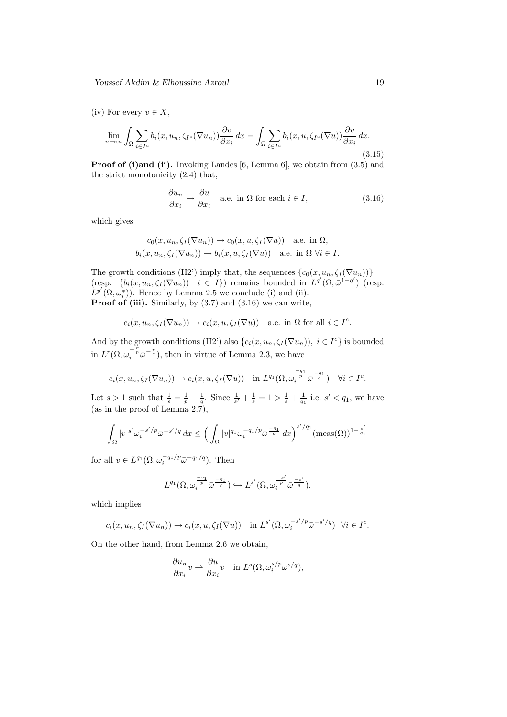Youssef Akdim & Elhoussine Azroul 19

(iv) For every  $v \in X$ ,

$$
\lim_{n \to \infty} \int_{\Omega} \sum_{i \in I^c} b_i(x, u_n, \zeta_{I^c}(\nabla u_n)) \frac{\partial v}{\partial x_i} dx = \int_{\Omega} \sum_{i \in I^c} b_i(x, u, \zeta_{I^c}(\nabla u)) \frac{\partial v}{\partial x_i} dx.
$$
\n(3.15)

**Proof of (i)and (ii).** Invoking Landes [6, Lemma 6], we obtain from (3.5) and the strict monotonicity (2.4) that,

$$
\frac{\partial u_n}{\partial x_i} \to \frac{\partial u}{\partial x_i} \quad \text{a.e. in } \Omega \text{ for each } i \in I,
$$
\n(3.16)

which gives

$$
c_0(x, u_n, \zeta_I(\nabla u_n)) \to c_0(x, u, \zeta_I(\nabla u)) \quad \text{a.e. in } \Omega,
$$
  

$$
b_i(x, u_n, \zeta_I(\nabla u_n)) \to b_i(x, u, \zeta_I(\nabla u)) \quad \text{a.e. in } \Omega \ \forall i \in I.
$$

The growth conditions (H2') imply that, the sequences  $\{c_0(x, u_n, \zeta_I(\nabla u_n))\}$ (resp.  $\{b_i(x, u_n, \zeta_I(\nabla u_n)) \mid i \in I\}$ ) remains bounded in  $L^{q'}(\Omega, \bar{\omega}^{1-q'})$  (resp.  $L^{p'}(\Omega,\omega_i^*))$ . Hence by Lemma 2.5 we conclude (i) and (ii). **Proof of (iii).** Similarly, by  $(3.7)$  and  $(3.16)$  we can write,

$$
c_i(x, u_n, \zeta_I(\nabla u_n)) \to c_i(x, u, \zeta_I(\nabla u))
$$
 a.e. in  $\Omega$  for all  $i \in I^c$ .

And by the growth conditions (H2') also  $\{c_i(x, u_n, \zeta_I(\nabla u_n)), i \in I^c\}$  is bounded in  $L^r(\Omega, \omega_i^{-\frac{r}{p}}\bar{\omega}^{-\frac{r}{q}})$ , then in virtue of Lemma 2.3, we have

$$
c_i(x, u_n, \zeta_I(\nabla u_n)) \to c_i(x, u, \zeta_I(\nabla u)) \quad \text{in } L^{q_1}(\Omega, \omega_i^{\frac{-q_1}{p}} \bar{\omega}^{\frac{-q_1}{q}}) \quad \forall i \in I^c.
$$

Let  $s > 1$  such that  $\frac{1}{s} = \frac{1}{p} + \frac{1}{q}$ . Since  $\frac{1}{s'} + \frac{1}{s} = 1 > \frac{1}{s} + \frac{1}{q_1}$  i.e.  $s' < q_1$ , we have (as in the proof of Lemma 2.7),

$$
\int_{\Omega} |v|^{s'} \omega_i^{-s'/p} \bar{\omega}^{-s'/q} dx \le \left(\int_{\Omega} |v|^{q_1} \omega_i^{-q_1/p} \bar{\omega}^{\frac{-q_1}{q}} dx\right)^{s'/q_1} (\text{meas}(\Omega))^{1-\frac{s'}{q_1}}
$$

for all  $v \in L^{q_1}(\Omega, \omega_i^{-q_1/p} \bar{\omega}^{-q_1/q})$ . Then

$$
L^{q_1}(\Omega, \omega_i^{\frac{-q_1}{p}} \bar{\omega}^{\frac{-q_1}{q}}) \hookrightarrow L^{s'}(\Omega, \omega_i^{\frac{-s'}{p}} \bar{\omega}^{\frac{-s'}{q}}),
$$

which implies

$$
c_i(x, u_n, \zeta_I(\nabla u_n)) \to c_i(x, u, \zeta_I(\nabla u)) \quad \text{in } L^{s'}(\Omega, \omega_i^{-s'/p} \bar{\omega}^{-s'/q}) \ \ \forall i \in I^c.
$$

On the other hand, from Lemma 2.6 we obtain,

$$
\frac{\partial u_n}{\partial x_i} v \rightharpoonup \frac{\partial u}{\partial x_i} v \quad \text{in } L^s(\Omega, \omega_i^{s/p} \bar{\omega}^{s/q}),
$$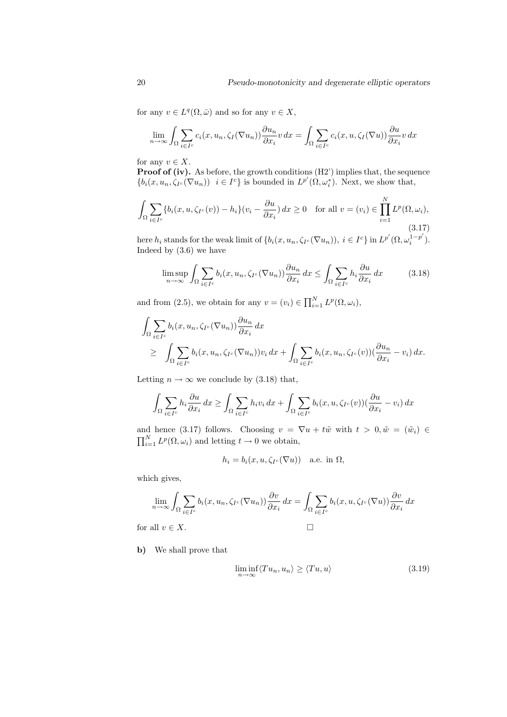for any  $v \in L^q(\Omega, \bar{\omega})$  and so for any  $v \in X$ ,

$$
\lim_{n \to \infty} \int_{\Omega} \sum_{i \in I^c} c_i(x, u_n, \zeta_I(\nabla u_n)) \frac{\partial u_n}{\partial x_i} v \, dx = \int_{\Omega} \sum_{i \in I^c} c_i(x, u, \zeta_I(\nabla u)) \frac{\partial u}{\partial x_i} v \, dx
$$

for any  $v \in X$ .

Proof of (iv). As before, the growth conditions (H2') implies that, the sequence  $\{b_i(x, u_n, \zeta_{I^c}(\nabla u_n)) \mid i \in I^c\}$  is bounded in  $L^{p'}(\Omega, \omega_i^*)$ . Next, we show that,

$$
\int_{\Omega} \sum_{i \in I^c} \{b_i(x, u, \zeta_{I^c}(v)) - h_i\}(v_i - \frac{\partial u}{\partial x_i}) dx \ge 0 \quad \text{for all } v = (v_i) \in \prod_{i=1}^N L^p(\Omega, \omega_i),
$$
\n(3.17)

here  $h_i$  stands for the weak limit of  $\{b_i(x, u_n, \zeta_{I^c}(\nabla u_n)), i \in I^c\}$  in  $L^{p'}(\Omega, \omega_i^{1-p'}),$  $\binom{1-p}{i}$ . Indeed by (3.6) we have

$$
\limsup_{n \to \infty} \int_{\Omega} \sum_{i \in I^c} b_i(x, u_n, \zeta_{I^c}(\nabla u_n)) \frac{\partial u_n}{\partial x_i} dx \le \int_{\Omega} \sum_{i \in I^c} h_i \frac{\partial u}{\partial x_i} dx \tag{3.18}
$$

and from (2.5), we obtain for any  $v = (v_i) \in \prod_{i=1}^{N} L^p(\Omega, \omega_i)$ ,

$$
\int_{\Omega} \sum_{i \in I^c} b_i(x, u_n, \zeta_{I^c}(\nabla u_n)) \frac{\partial u_n}{\partial x_i} dx
$$
\n
$$
\geq \int_{\Omega} \sum_{i \in I^c} b_i(x, u_n, \zeta_{I^c}(\nabla u_n)) v_i dx + \int_{\Omega} \sum_{i \in I^c} b_i(x, u_n, \zeta_{I^c}(v)) (\frac{\partial u_n}{\partial x_i} - v_i) dx.
$$

Letting  $n \to \infty$  we conclude by (3.18) that,

$$
\int_{\Omega} \sum_{i \in I^c} h_i \frac{\partial u}{\partial x_i} dx \ge \int_{\Omega} \sum_{i \in I^c} h_i v_i dx + \int_{\Omega} \sum_{i \in I^c} b_i (x, u, \zeta_{I^c}(v)) (\frac{\partial u}{\partial x_i} - v_i) dx
$$

and hence (3.17) follows. Choosing  $v = \nabla u + t\tilde{w}$  with  $t > 0, \tilde{w} = (\tilde{w}_i) \in$  $\prod_{i=1}^{N} L^p(\Omega, \omega_i)$  and letting  $t \to 0$  we obtain,

$$
h_i = b_i(x, u, \zeta_{I^c}(\nabla u)) \quad \text{a.e. in } \Omega,
$$

which gives,

$$
\lim_{n \to \infty} \int_{\Omega} \sum_{i \in I^c} b_i(x, u_n, \zeta_{I^c}(\nabla u_n)) \frac{\partial v}{\partial x_i} dx = \int_{\Omega} \sum_{i \in I^c} b_i(x, u, \zeta_{I^c}(\nabla u)) \frac{\partial v}{\partial x_i} dx
$$
  
for all  $v \in X$ .

b) We shall prove that

$$
\liminf_{n \to \infty} \langle Tu_n, u_n \rangle \ge \langle Tu, u \rangle \tag{3.19}
$$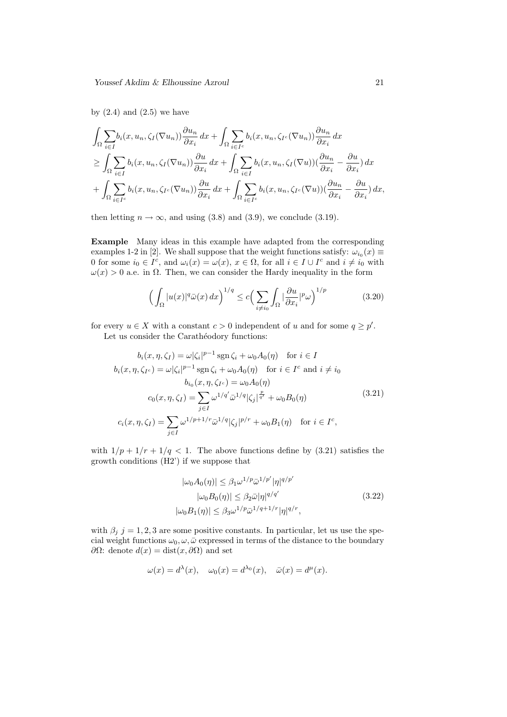by  $(2.4)$  and  $(2.5)$  we have

$$
\int_{\Omega} \sum_{i \in I} b_i(x, u_n, \zeta_I(\nabla u_n)) \frac{\partial u_n}{\partial x_i} dx + \int_{\Omega} \sum_{i \in I^c} b_i(x, u_n, \zeta_{I^c}(\nabla u_n)) \frac{\partial u_n}{\partial x_i} dx \n\geq \int_{\Omega} \sum_{i \in I} b_i(x, u_n, \zeta_I(\nabla u_n)) \frac{\partial u}{\partial x_i} dx + \int_{\Omega} \sum_{i \in I} b_i(x, u_n, \zeta_I(\nabla u)) (\frac{\partial u_n}{\partial x_i} - \frac{\partial u}{\partial x_i}) dx \n+ \int_{\Omega} \sum_{i \in I^c} b_i(x, u_n, \zeta_{I^c}(\nabla u_n)) \frac{\partial u}{\partial x_i} dx + \int_{\Omega} \sum_{i \in I^c} b_i(x, u_n, \zeta_{I^c}(\nabla u)) (\frac{\partial u_n}{\partial x_i} - \frac{\partial u}{\partial x_i}) dx,
$$

then letting  $n \to \infty$ , and using (3.8) and (3.9), we conclude (3.19).

Example Many ideas in this example have adapted from the corresponding examples 1-2 in [2]. We shall suppose that the weight functions satisfy:  $\omega_{i_0}(x) \equiv$ 0 for some  $i_0 \in I^c$ , and  $\omega_i(x) = \omega(x)$ ,  $x \in \Omega$ , for all  $i \in I \cup I^c$  and  $i \neq i_0$  with  $\omega(x) > 0$  a.e. in  $\Omega$ . Then, we can consider the Hardy inequality in the form

$$
\left(\int_{\Omega} |u(x)|^q \bar{\omega}(x) dx\right)^{1/q} \le c \left(\sum_{i \neq i_0} \int_{\Omega} |\frac{\partial u}{\partial x_i}|^p \omega\right)^{1/p} \tag{3.20}
$$

for every  $u \in X$  with a constant  $c > 0$  independent of u and for some  $q \geq p'$ . Let us consider the Carathéodory functions:

$$
b_i(x, \eta, \zeta_I) = \omega |\zeta_i|^{p-1} \operatorname{sgn} \zeta_i + \omega_0 A_0(\eta) \quad \text{for } i \in I
$$
  
\n
$$
b_i(x, \eta, \zeta_{I^c}) = \omega |\zeta_i|^{p-1} \operatorname{sgn} \zeta_i + \omega_0 A_0(\eta) \quad \text{for } i \in I^c \text{ and } i \neq i_0
$$
  
\n
$$
b_{i_0}(x, \eta, \zeta_{I^c}) = \omega_0 A_0(\eta)
$$
  
\n
$$
c_0(x, \eta, \zeta_I) = \sum_{j \in I} \omega^{1/q'} \bar{\omega}^{1/q} |\zeta_j|_q^{\frac{p}{q'}} + \omega_0 B_0(\eta)
$$
  
\n
$$
c_i(x, \eta, \zeta_I) = \sum_{j \in I} \omega^{1/p+1/r} \bar{\omega}^{1/q} |\zeta_j|^{p/r} + \omega_0 B_1(\eta) \quad \text{for } i \in I^c,
$$
  
\n(3.21)

with  $1/p + 1/r + 1/q < 1$ . The above functions define by (3.21) satisfies the growth conditions (H2') if we suppose that

$$
|\omega_0 A_0(\eta)| \le \beta_1 \omega^{1/p} \bar{\omega}^{1/p'} |\eta|^{q/p'}
$$
  
\n
$$
|\omega_0 B_0(\eta)| \le \beta_2 \bar{\omega} |\eta|^{q/q'} \qquad (3.22)
$$
  
\n
$$
|\omega_0 B_1(\eta)| \le \beta_3 \omega^{1/p} \bar{\omega}^{1/q+1/r} |\eta|^{q/r},
$$

with  $\beta_j$  j = 1, 2, 3 are some positive constants. In particular, let us use the special weight functions  $\omega_0, \omega, \bar{\omega}$  expressed in terms of the distance to the boundary  $∂Ω:$  denote  $d(x) = dist(x, ∂Ω)$  and set

$$
\omega(x) = d^{\lambda}(x), \quad \omega_0(x) = d^{\lambda_0}(x), \quad \bar{\omega}(x) = d^{\mu}(x).
$$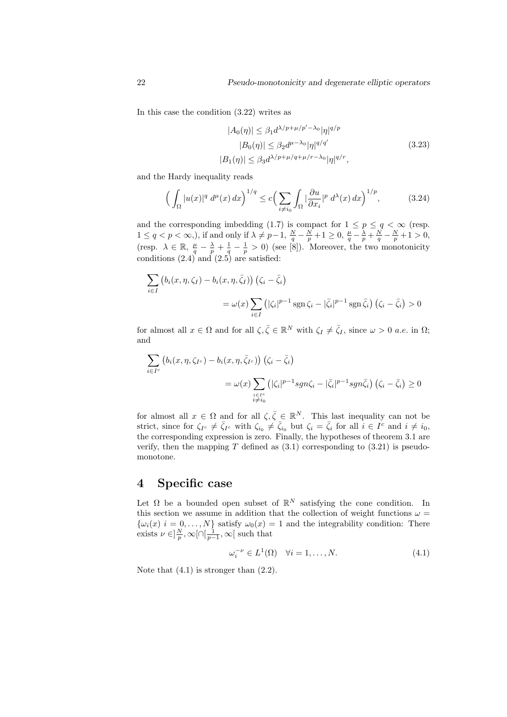In this case the condition (3.22) writes as

$$
|A_0(\eta)| \le \beta_1 d^{\lambda/p + \mu/p' - \lambda_0} |\eta|^{q/p}
$$
  
\n
$$
|B_0(\eta)| \le \beta_2 d^{\mu - \lambda_0} |\eta|^{q/q'} \tag{3.23}
$$
  
\n
$$
|B_1(\eta)| \le \beta_3 d^{\lambda/p + \mu/q + \mu/r - \lambda_0} |\eta|^{q/r},
$$

and the Hardy inequality reads

$$
\left(\int_{\Omega} |u(x)|^q \, d^{\mu}(x) \, dx\right)^{1/q} \le c \left(\sum_{i \neq i_0} \int_{\Omega} \left|\frac{\partial u}{\partial x_i}\right|^p \, d^{\lambda}(x) \, dx\right)^{1/p},\tag{3.24}
$$

and the corresponding imbedding (1.7) is compact for  $1 \le p \le q < \infty$  (resp.  $1 \le q < p < \infty$ ,), if and only if  $\lambda \neq p-1$ ,  $\frac{N}{q} - \frac{N}{p} + 1 \ge 0$ ,  $\frac{\mu}{q} - \frac{\lambda}{p} + \frac{N}{q} - \frac{N}{p} + 1 > 0$ , (resp.  $\lambda \in \mathbb{R}$ ,  $\frac{\mu}{q} - \frac{\lambda}{p} + \frac{1}{q} - \frac{1}{p} > 0$ ) (see [8]). Moreover, the two monotonicity conditions (2.4) and (2.5) are satisfied:

$$
\sum_{i \in I} \left( b_i(x, \eta, \zeta_I) - b_i(x, \eta, \bar{\zeta}_I) \right) \left( \zeta_i - \bar{\zeta}_i \right)
$$
  
=  $\omega(x) \sum_{i \in I} \left( |\zeta_i|^{p-1} \operatorname{sgn} \zeta_i - |\bar{\zeta}_i|^{p-1} \operatorname{sgn} \bar{\zeta}_i \right) \left( \zeta_i - \bar{\zeta}_i \right) > 0$ 

for almost all  $x \in \Omega$  and for all  $\zeta, \overline{\zeta} \in \mathbb{R}^N$  with  $\zeta_I \neq \overline{\zeta}_I$ , since  $\omega > 0$  *a.e.* in  $\Omega$ ; and

$$
\sum_{i \in I^c} \left( b_i(x, \eta, \zeta_{I^c}) - b_i(x, \eta, \bar{\zeta}_{I^c}) \right) \left( \zeta_i - \bar{\zeta}_i \right)
$$
  

$$
= \omega(x) \sum_{\substack{i \in I^c \\ i \neq i_0}} \left( |\zeta_i|^{p-1} sgn \zeta_i - |\bar{\zeta}_i|^{p-1} sgn \bar{\zeta}_i \right) \left( \zeta_i - \bar{\zeta}_i \right) \ge 0
$$

for almost all  $x \in \Omega$  and for all  $\zeta, \overline{\zeta} \in \mathbb{R}^N$ . This last inequality can not be strict, since for  $\zeta_{I^c} \neq \overline{\zeta}_{I^c}$  with  $\zeta_{i_0} \neq \overline{\zeta}_{i_0}$  but  $\zeta_i = \overline{\zeta}_i$  for all  $i \in I^c$  and  $i \neq i_0$ , the corresponding expression is zero. Finally, the hypotheses of theorem 3.1 are verify, then the mapping  $T$  defined as  $(3.1)$  corresponding to  $(3.21)$  is pseudomonotone.

#### 4 Specific case

Let  $\Omega$  be a bounded open subset of  $\mathbb{R}^N$  satisfying the cone condition. In this section we assume in addition that the collection of weight functions  $\omega$  =  $\{\omega_i(x)$   $i = 0, \ldots, N\}$  satisfy  $\omega_0(x) = 1$  and the integrability condition: There exists  $\nu \in ]\frac{N}{p}, \infty[\cap[\frac{1}{p-1}, \infty[$  such that

$$
\omega_i^{-\nu} \in L^1(\Omega) \quad \forall i = 1, \dots, N. \tag{4.1}
$$

Note that  $(4.1)$  is stronger than  $(2.2)$ .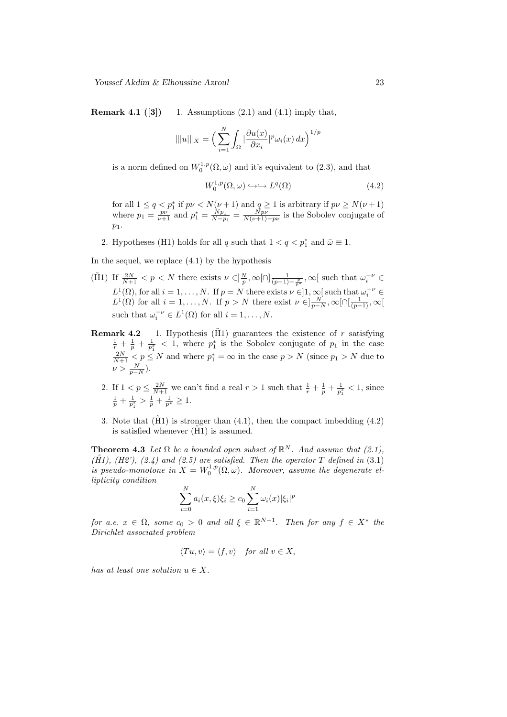**Remark 4.1** ([3]) 1. Assumptions  $(2.1)$  and  $(4.1)$  imply that,

$$
\| |u| \|_X = \Big( \sum_{i=1}^N \int_{\Omega} \big| \frac{\partial u(x)}{\partial x_i} \big|_{\mu} \omega_i(x) \, dx \Big)^{1/p}
$$

is a norm defined on  $W_0^{1,p}(\Omega,\omega)$  and it's equivalent to (2.3), and that

$$
W_0^{1,p}(\Omega,\omega) \hookrightarrow \hookrightarrow L^q(\Omega) \tag{4.2}
$$

for all  $1 \leq q < p_1^*$  if  $p\nu < N(\nu+1)$  and  $q \geq 1$  is arbitrary if  $p\nu \geq N(\nu+1)$ where  $p_1 = \frac{pv}{\nu+1}$  and  $p_1^* = \frac{Np_1}{N-p_1} = \frac{Npv}{N(\nu+1)-pv}$  is the Sobolev conjugate of  $p_1$ .

2. Hypotheses (H1) holds for all q such that  $1 < q < p_1^*$  and  $\bar{\omega} \equiv 1$ .

In the sequel, we replace (4.1) by the hypothesis

- (H̄1) If  $\frac{2N}{N+1} < p < N$  there exists  $\nu \in ]\frac{N}{p}, \infty[\cap] \frac{1}{(p-1)-\frac{p}{p^*}}, \infty[$  such that  $\omega_i^{-\nu} \in$  $L^1(\Omega)$ , for all  $i = 1, ..., N$ . If  $p = N$  there exists  $\nu \in ]1, \infty[$  such that  $\omega_i^{-\nu} \in$  $L^1(\Omega)$  for all  $i=1,\ldots,N$ . If  $p>N$  there exist  $\nu \in ]\frac{N}{p-N},\infty[\cap[\frac{1}{(p-1)},\infty[$ such that  $\omega_i^{-\nu} \in L^1(\Omega)$  for all  $i = 1, \ldots, N$ .
- **Remark 4.2** 1. Hypothesis ( $\tilde{H}$ 1) guarantees the existence of r satisfying  $\frac{1}{r} + \frac{1}{p} + \frac{1}{p_1^*} < 1$ , where  $p_1^*$  is the Sobolev conjugate of  $p_1$  in the case  $\frac{2N}{N+1} < p \le N$  and where  $p_1^* = \infty$  in the case  $p > N$  (since  $p_1 > N$  due to  $\nu > \frac{N}{p-N}$ ).
	- 2. If  $1 < p \leq \frac{2N}{N+1}$  we can't find a real  $r > 1$  such that  $\frac{1}{r} + \frac{1}{p} + \frac{1}{p_1^*} < 1$ , since  $\frac{1}{p} + \frac{1}{p_1^*} > \frac{1}{p} + \frac{1}{p^*} \geq 1.$
	- 3. Note that  $(H1)$  is stronger than  $(4.1)$ , then the compact imbedding  $(4.2)$ is satisfied whenever  $(H1)$  is assumed.

**Theorem 4.3** Let  $\Omega$  be a bounded open subset of  $\mathbb{R}^N$ . And assume that (2.1),  $(H1), (H2), (2.4)$  and  $(2.5)$  are satisfied. Then the operator T defined in  $(3.1)$ is pseudo-monotone in  $X = W_0^{1,p}(\Omega,\omega)$ . Moreover, assume the degenerate ellipticity condition

$$
\sum_{i=0}^{N} a_i(x,\xi)\xi_i \ge c_0 \sum_{i=1}^{N} \omega_i(x) |\xi_i|^p
$$

for a.e.  $x \in \Omega$ , some  $c_0 > 0$  and all  $\xi \in \mathbb{R}^{N+1}$ . Then for any  $f \in X^*$  the Dirichlet associated problem

$$
\langle Tu, v \rangle = \langle f, v \rangle \quad \text{for all } v \in X,
$$

has at least one solution  $u \in X$ .